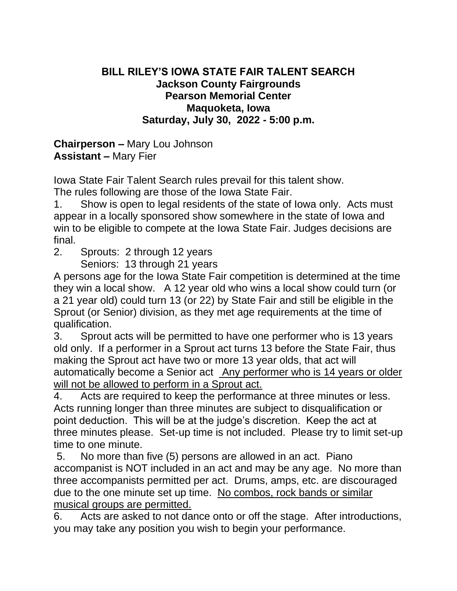## **BILL RILEY'S IOWA STATE FAIR TALENT SEARCH Jackson County Fairgrounds Pearson Memorial Center Maquoketa, Iowa Saturday, July 30, 2022 - 5:00 p.m.**

**Chairperson –** Mary Lou Johnson **Assistant –** Mary Fier

Iowa State Fair Talent Search rules prevail for this talent show. The rules following are those of the Iowa State Fair.

1. Show is open to legal residents of the state of Iowa only. Acts must appear in a locally sponsored show somewhere in the state of Iowa and win to be eligible to compete at the Iowa State Fair. Judges decisions are final.

2. Sprouts: 2 through 12 years

Seniors: 13 through 21 years

A persons age for the Iowa State Fair competition is determined at the time they win a local show. A 12 year old who wins a local show could turn (or a 21 year old) could turn 13 (or 22) by State Fair and still be eligible in the Sprout (or Senior) division, as they met age requirements at the time of qualification.

3. Sprout acts will be permitted to have one performer who is 13 years old only. If a performer in a Sprout act turns 13 before the State Fair, thus making the Sprout act have two or more 13 year olds, that act will automatically become a Senior act Any performer who is 14 years or older will not be allowed to perform in a Sprout act.

4. Acts are required to keep the performance at three minutes or less. Acts running longer than three minutes are subject to disqualification or point deduction. This will be at the judge's discretion. Keep the act at three minutes please. Set-up time is not included. Please try to limit set-up time to one minute.

5. No more than five (5) persons are allowed in an act. Piano accompanist is NOT included in an act and may be any age. No more than three accompanists permitted per act. Drums, amps, etc. are discouraged due to the one minute set up time. No combos, rock bands or similar musical groups are permitted.

6. Acts are asked to not dance onto or off the stage. After introductions, you may take any position you wish to begin your performance.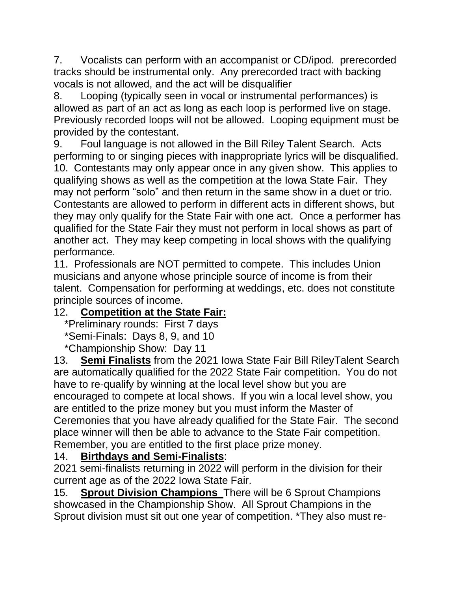7. Vocalists can perform with an accompanist or CD/ipod. prerecorded tracks should be instrumental only. Any prerecorded tract with backing vocals is not allowed, and the act will be disqualifier

8. Looping (typically seen in vocal or instrumental performances) is allowed as part of an act as long as each loop is performed live on stage. Previously recorded loops will not be allowed. Looping equipment must be provided by the contestant.

9. Foul language is not allowed in the Bill Riley Talent Search. Acts performing to or singing pieces with inappropriate lyrics will be disqualified. 10. Contestants may only appear once in any given show. This applies to qualifying shows as well as the competition at the Iowa State Fair. They may not perform "solo" and then return in the same show in a duet or trio. Contestants are allowed to perform in different acts in different shows, but they may only qualify for the State Fair with one act. Once a performer has qualified for the State Fair they must not perform in local shows as part of another act. They may keep competing in local shows with the qualifying performance.

11. Professionals are NOT permitted to compete. This includes Union musicians and anyone whose principle source of income is from their talent. Compensation for performing at weddings, etc. does not constitute principle sources of income.

## 12. **Competition at the State Fair:**

\*Preliminary rounds: First 7 days

\*Semi-Finals: Days 8, 9, and 10

\*Championship Show: Day 11

13. **Semi Finalists** from the 2021 Iowa State Fair Bill RileyTalent Search are automatically qualified for the 2022 State Fair competition. You do not have to re-qualify by winning at the local level show but you are encouraged to compete at local shows. If you win a local level show, you are entitled to the prize money but you must inform the Master of Ceremonies that you have already qualified for the State Fair. The second place winner will then be able to advance to the State Fair competition. Remember, you are entitled to the first place prize money.

## 14. **Birthdays and Semi-Finalists**:

2021 semi-finalists returning in 2022 will perform in the division for their current age as of the 2022 Iowa State Fair.

15. **Sprout Division Champions** There will be 6 Sprout Champions showcased in the Championship Show. All Sprout Champions in the Sprout division must sit out one year of competition. \*They also must re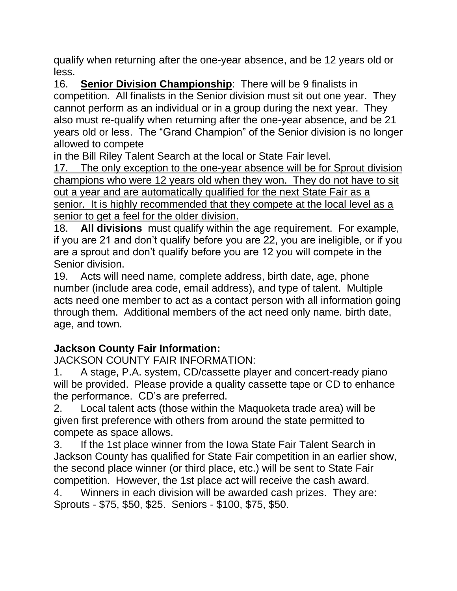qualify when returning after the one-year absence, and be 12 years old or less.

16. **Senior Division Championship**: There will be 9 finalists in competition. All finalists in the Senior division must sit out one year. They cannot perform as an individual or in a group during the next year. They also must re-qualify when returning after the one-year absence, and be 21 years old or less. The "Grand Champion" of the Senior division is no longer allowed to compete

in the Bill Riley Talent Search at the local or State Fair level.

17. The only exception to the one-year absence will be for Sprout division champions who were 12 years old when they won. They do not have to sit out a year and are automatically qualified for the next State Fair as a senior. It is highly recommended that they compete at the local level as a senior to get a feel for the older division.

18. **All divisions** must qualify within the age requirement. For example, if you are 21 and don't qualify before you are 22, you are ineligible, or if you are a sprout and don't qualify before you are 12 you will compete in the Senior division.

19. Acts will need name, complete address, birth date, age, phone number (include area code, email address), and type of talent. Multiple acts need one member to act as a contact person with all information going through them. Additional members of the act need only name. birth date, age, and town.

## **Jackson County Fair Information:**

JACKSON COUNTY FAIR INFORMATION:

1. A stage, P.A. system, CD/cassette player and concert-ready piano will be provided. Please provide a quality cassette tape or CD to enhance the performance. CD's are preferred.

2. Local talent acts (those within the Maquoketa trade area) will be given first preference with others from around the state permitted to compete as space allows.

3. If the 1st place winner from the Iowa State Fair Talent Search in Jackson County has qualified for State Fair competition in an earlier show, the second place winner (or third place, etc.) will be sent to State Fair competition. However, the 1st place act will receive the cash award.

4. Winners in each division will be awarded cash prizes. They are: Sprouts - \$75, \$50, \$25. Seniors - \$100, \$75, \$50.